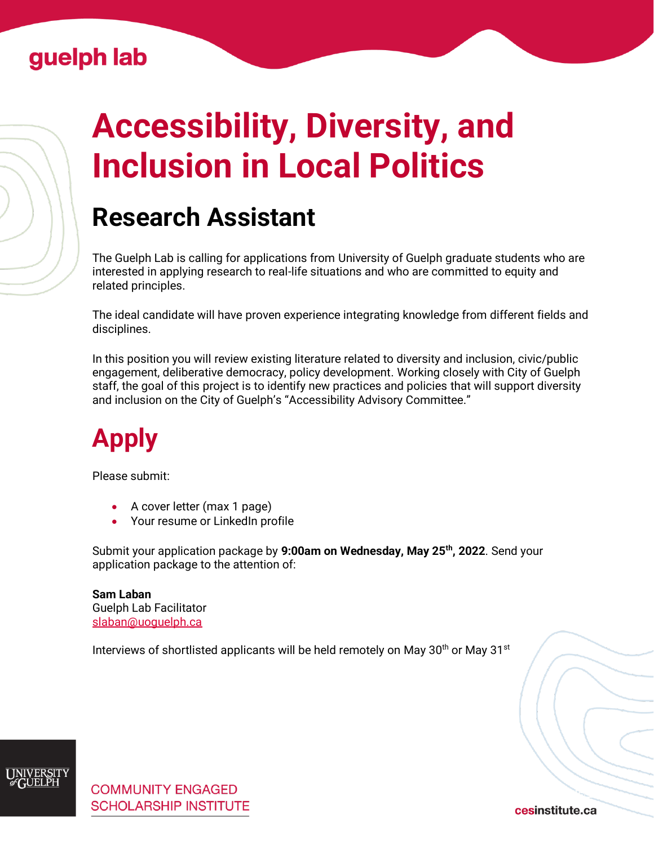#### Guelph lab

# **Accessibility, Diversity, and Inclusion in Local Politics**

## **Research Assistant**

The Guelph Lab is calling for applications from University of Guelph graduate students who are interested in applying research to real-life situations and who are committed to equity and related principles.

The ideal candidate will have proven experience integrating knowledge from different fields and disciplines.

In this position you will review existing literature related to diversity and inclusion, civic/public engagement, deliberative democracy, policy development. Working closely with City of Guelph staff, the goal of this project is to identify new practices and policies that will support diversity and inclusion on the City of Guelph's "Accessibility Advisory Committee."

## **Apply**

Please submit:

- A cover letter (max 1 page)
- Your resume or LinkedIn profile

Submit your application package by **9:00am on Wednesday, May 25th, 2022**. Send your application package to the attention of:

**Sam Laban** Guelph Lab Facilitator [slaban@uoguelph.ca](mailto:slaban@uoguelph.ca)

Interviews of shortlisted applicants will be held remotely on May  $30<sup>th</sup>$  or May  $31<sup>st</sup>$ 



cesinstitute.ca

[Cesinstitute.ca](https://www.cesinstitute.ca/)